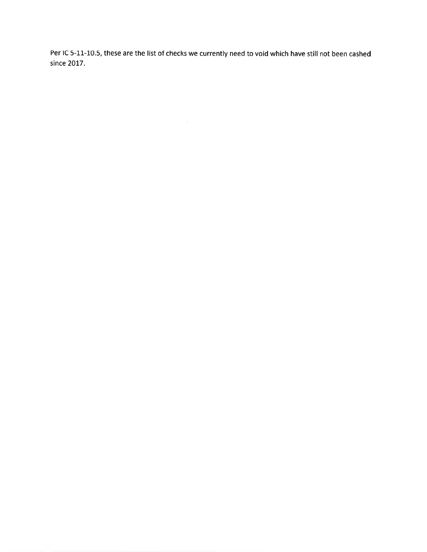Per lC 5-11-10.5, these are the list of checks we currently need to void which have still not been cashedsince 2017.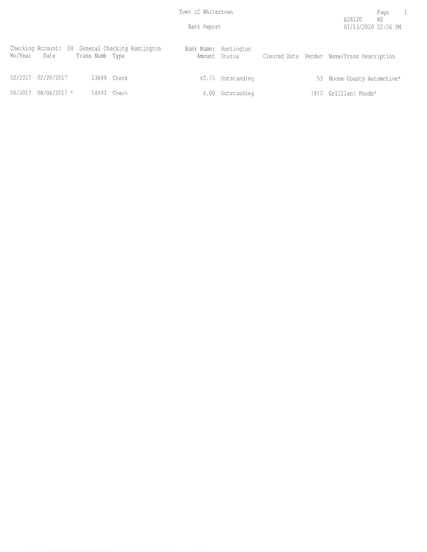Bank Report

| Mo/Year | Date                   | Trans Numb Type | Checking Account: 04 General Checking Huntington | Bank Name: Huntington<br>Amount Status |  | Cleared Date Vendor Name/Trans Description |
|---------|------------------------|-----------------|--------------------------------------------------|----------------------------------------|--|--------------------------------------------|
|         | 02/2017 02/28/2017     |                 | 13689 Check                                      | 40.75 Outstanding                      |  | 53 Boone County Automotive*                |
|         | $08/2017$ 08/04/2017 * | 14493 Check     |                                                  | 6.00 Outstanding                       |  | 1812 Grilliant Foods*                      |